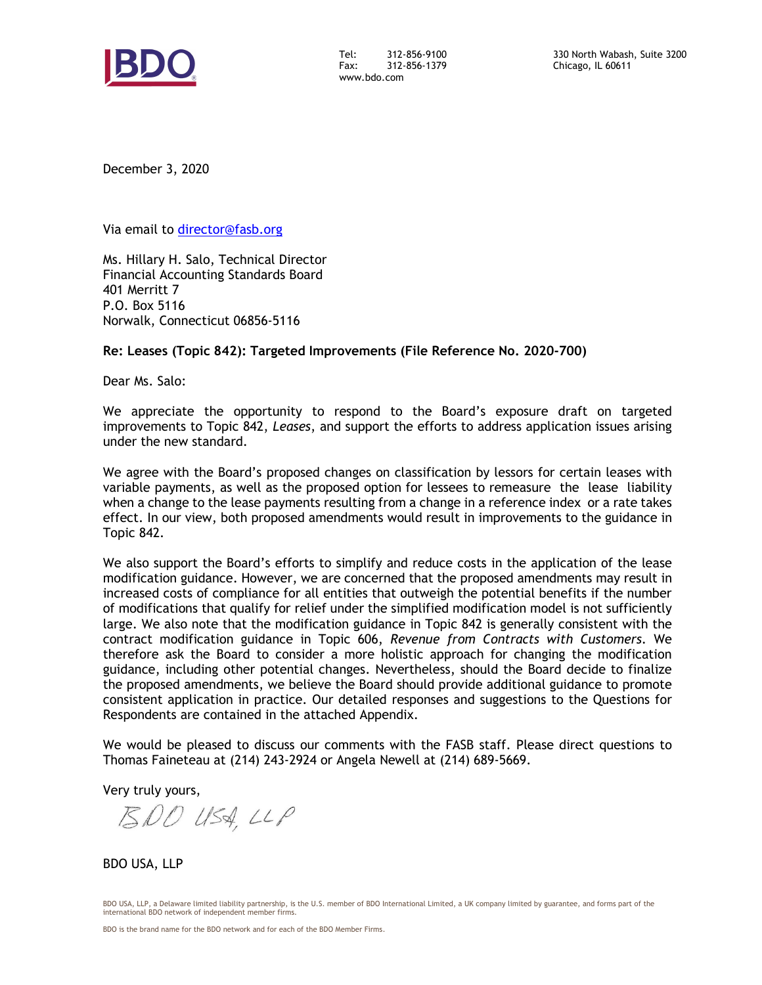

Tel: 312-856-9100<br>Fax: 312-856-1379 Fax: 312-856-1379 www.bdo.com

December 3, 2020

Via email to [director@fasb.org](mailto:director@fasb.org)

Ms. Hillary H. Salo, Technical Director Financial Accounting Standards Board 401 Merritt 7 P.O. Box 5116 Norwalk, Connecticut 06856-5116

### **Re: Leases (Topic 842): Targeted Improvements (File Reference No. 2020-700)**

Dear Ms. Salo:

We appreciate the opportunity to respond to the Board's exposure draft on targeted improvements to Topic 842, *Leases*, and support the efforts to address application issues arising under the new standard.

We agree with the Board's proposed changes on classification by lessors for certain leases with variable payments, as well as the proposed option for lessees to remeasure the lease liability when a change to the lease payments resulting from a change in a reference index or a rate takes effect. In our view, both proposed amendments would result in improvements to the guidance in Topic 842.

We also support the Board's efforts to simplify and reduce costs in the application of the lease modification guidance. However, we are concerned that the proposed amendments may result in increased costs of compliance for all entities that outweigh the potential benefits if the number of modifications that qualify for relief under the simplified modification model is not sufficiently large. We also note that the modification guidance in Topic 842 is generally consistent with the contract modification guidance in Topic 606, *Revenue from Contracts with Customers*. We therefore ask the Board to consider a more holistic approach for changing the modification guidance, including other potential changes. Nevertheless, should the Board decide to finalize the proposed amendments, we believe the Board should provide additional guidance to promote consistent application in practice. Our detailed responses and suggestions to the Questions for Respondents are contained in the attached Appendix.

We would be pleased to discuss our comments with the FASB staff. Please direct questions to Thomas Faineteau at (214) 243-2924 or Angela Newell at (214) 689-5669.

Very truly yours,

 $BDOU$  USA, LLP

BDO USA, LLP

BDO USA, LLP, a Delaware limited liability partnership, is the U.S. member of BDO International Limited, a UK company limited by guarantee, and forms part of the international BDO network of independent member firms.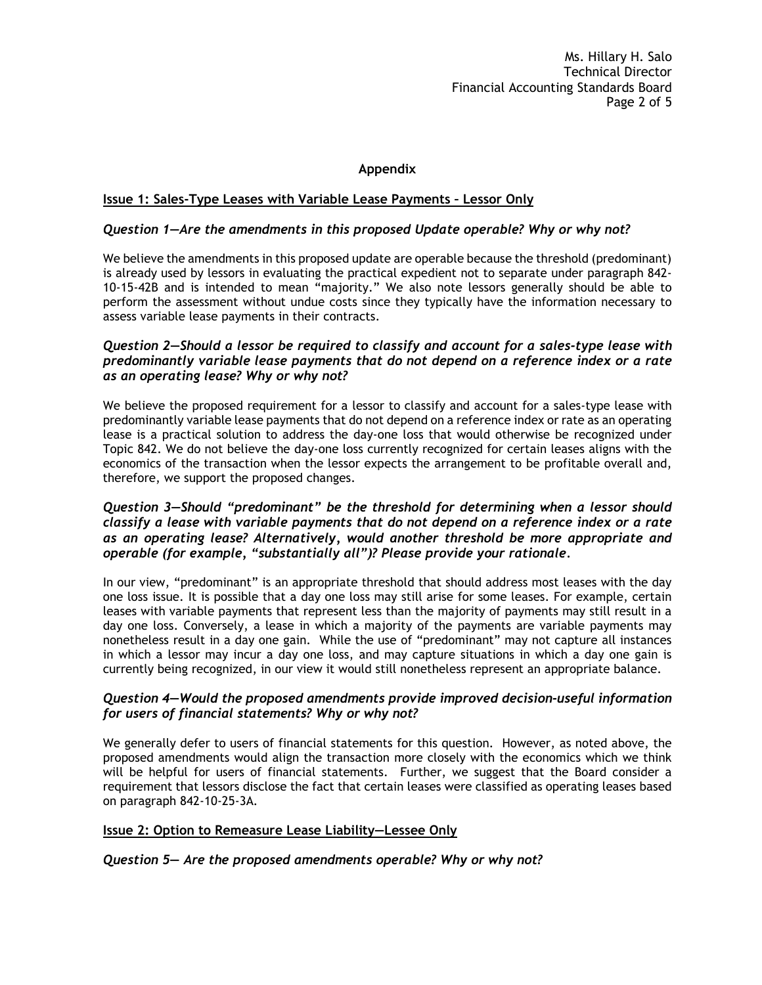Ms. Hillary H. Salo Technical Director Financial Accounting Standards Board Page 2 of 5

# **Appendix**

### **Issue 1: Sales-Type Leases with Variable Lease Payments – Lessor Only**

### *Question 1—Are the amendments in this proposed Update operable? Why or why not?*

We believe the amendments in this proposed update are operable because the threshold (predominant) is already used by lessors in evaluating the practical expedient not to separate under paragraph 842- 10-15-42B and is intended to mean "majority." We also note lessors generally should be able to perform the assessment without undue costs since they typically have the information necessary to assess variable lease payments in their contracts.

#### *Question 2—Should a lessor be required to classify and account for a sales-type lease with predominantly variable lease payments that do not depend on a reference index or a rate as an operating lease? Why or why not?*

We believe the proposed requirement for a lessor to classify and account for a sales-type lease with predominantly variable lease payments that do not depend on a reference index or rate as an operating lease is a practical solution to address the day-one loss that would otherwise be recognized under Topic 842. We do not believe the day-one loss currently recognized for certain leases aligns with the economics of the transaction when the lessor expects the arrangement to be profitable overall and, therefore, we support the proposed changes.

## *Question 3—Should "predominant" be the threshold for determining when a lessor should classify a lease with variable payments that do not depend on a reference index or a rate as an operating lease? Alternatively, would another threshold be more appropriate and operable (for example, "substantially all")? Please provide your rationale.*

In our view, "predominant" is an appropriate threshold that should address most leases with the day one loss issue. It is possible that a day one loss may still arise for some leases. For example, certain leases with variable payments that represent less than the majority of payments may still result in a day one loss. Conversely, a lease in which a majority of the payments are variable payments may nonetheless result in a day one gain. While the use of "predominant" may not capture all instances in which a lessor may incur a day one loss, and may capture situations in which a day one gain is currently being recognized, in our view it would still nonetheless represent an appropriate balance.

# *Question 4—Would the proposed amendments provide improved decision-useful information for users of financial statements? Why or why not?*

We generally defer to users of financial statements for this question. However, as noted above, the proposed amendments would align the transaction more closely with the economics which we think will be helpful for users of financial statements. Further, we suggest that the Board consider a requirement that lessors disclose the fact that certain leases were classified as operating leases based on paragraph 842-10-25-3A.

#### **Issue 2: Option to Remeasure Lease Liability—Lessee Only**

#### *Question 5— Are the proposed amendments operable? Why or why not?*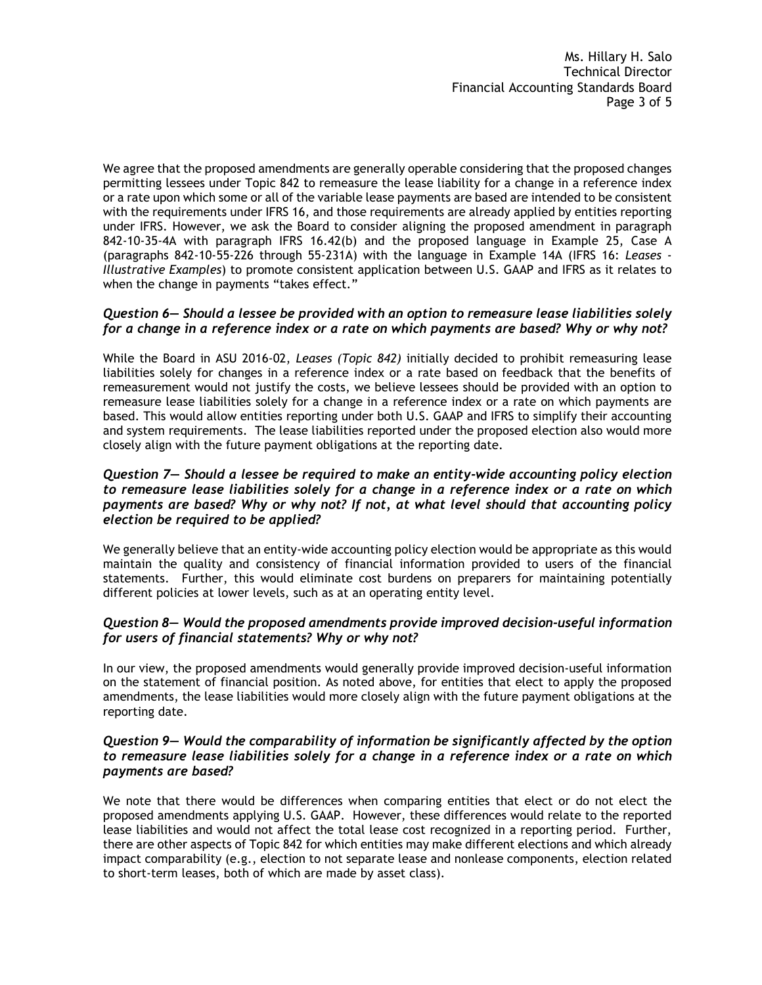Ms. Hillary H. Salo Technical Director Financial Accounting Standards Board Page 3 of 5

We agree that the proposed amendments are generally operable considering that the proposed changes permitting lessees under Topic 842 to remeasure the lease liability for a change in a reference index or a rate upon which some or all of the variable lease payments are based are intended to be consistent with the requirements under IFRS 16, and those requirements are already applied by entities reporting under IFRS. However, we ask the Board to consider aligning the proposed amendment in paragraph 842-10-35-4A with paragraph IFRS 16.42(b) and the proposed language in Example 25, Case A (paragraphs 842-10-55-226 through 55-231A) with the language in Example 14A (IFRS 16: *Leases - Illustrative Examples*) to promote consistent application between U.S. GAAP and IFRS as it relates to when the change in payments "takes effect."

### *Question 6— Should a lessee be provided with an option to remeasure lease liabilities solely for a change in a reference index or a rate on which payments are based? Why or why not?*

While the Board in ASU 2016-02, *Leases (Topic 842)* initially decided to prohibit remeasuring lease liabilities solely for changes in a reference index or a rate based on feedback that the benefits of remeasurement would not justify the costs, we believe lessees should be provided with an option to remeasure lease liabilities solely for a change in a reference index or a rate on which payments are based. This would allow entities reporting under both U.S. GAAP and IFRS to simplify their accounting and system requirements. The lease liabilities reported under the proposed election also would more closely align with the future payment obligations at the reporting date.

# *Question 7— Should a lessee be required to make an entity-wide accounting policy election to remeasure lease liabilities solely for a change in a reference index or a rate on which payments are based? Why or why not? If not, at what level should that accounting policy election be required to be applied?*

We generally believe that an entity-wide accounting policy election would be appropriate as this would maintain the quality and consistency of financial information provided to users of the financial statements. Further, this would eliminate cost burdens on preparers for maintaining potentially different policies at lower levels, such as at an operating entity level.

# *Question 8— Would the proposed amendments provide improved decision-useful information for users of financial statements? Why or why not?*

In our view, the proposed amendments would generally provide improved decision-useful information on the statement of financial position. As noted above, for entities that elect to apply the proposed amendments, the lease liabilities would more closely align with the future payment obligations at the reporting date.

# *Question 9— Would the comparability of information be significantly affected by the option to remeasure lease liabilities solely for a change in a reference index or a rate on which payments are based?*

We note that there would be differences when comparing entities that elect or do not elect the proposed amendments applying U.S. GAAP. However, these differences would relate to the reported lease liabilities and would not affect the total lease cost recognized in a reporting period. Further, there are other aspects of Topic 842 for which entities may make different elections and which already impact comparability (e.g., election to not separate lease and nonlease components, election related to short-term leases, both of which are made by asset class).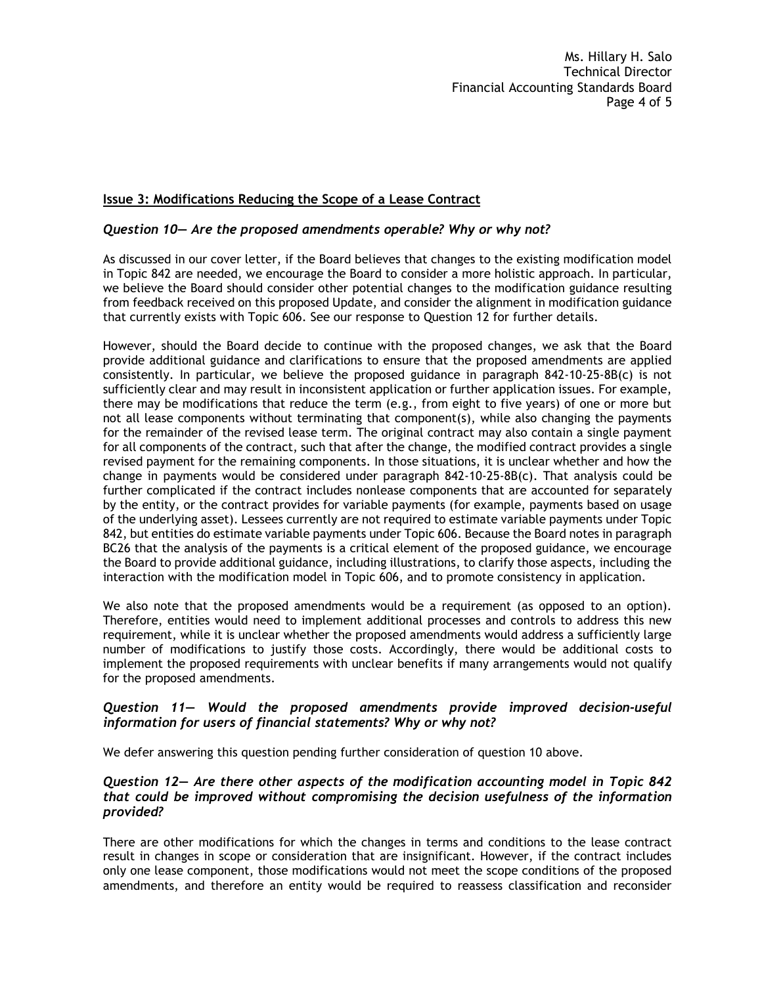### **Issue 3: Modifications Reducing the Scope of a Lease Contract**

## *Question 10— Are the proposed amendments operable? Why or why not?*

As discussed in our cover letter, if the Board believes that changes to the existing modification model in Topic 842 are needed, we encourage the Board to consider a more holistic approach. In particular, we believe the Board should consider other potential changes to the modification guidance resulting from feedback received on this proposed Update, and consider the alignment in modification guidance that currently exists with Topic 606. See our response to Question 12 for further details.

However, should the Board decide to continue with the proposed changes, we ask that the Board provide additional guidance and clarifications to ensure that the proposed amendments are applied consistently. In particular, we believe the proposed guidance in paragraph 842-10-25-8B(c) is not sufficiently clear and may result in inconsistent application or further application issues. For example, there may be modifications that reduce the term (e.g., from eight to five years) of one or more but not all lease components without terminating that component(s), while also changing the payments for the remainder of the revised lease term. The original contract may also contain a single payment for all components of the contract, such that after the change, the modified contract provides a single revised payment for the remaining components. In those situations, it is unclear whether and how the change in payments would be considered under paragraph 842-10-25-8B(c). That analysis could be further complicated if the contract includes nonlease components that are accounted for separately by the entity, or the contract provides for variable payments (for example, payments based on usage of the underlying asset). Lessees currently are not required to estimate variable payments under Topic 842, but entities do estimate variable payments under Topic 606. Because the Board notes in paragraph BC26 that the analysis of the payments is a critical element of the proposed guidance, we encourage the Board to provide additional guidance, including illustrations, to clarify those aspects, including the interaction with the modification model in Topic 606, and to promote consistency in application.

We also note that the proposed amendments would be a requirement (as opposed to an option). Therefore, entities would need to implement additional processes and controls to address this new requirement, while it is unclear whether the proposed amendments would address a sufficiently large number of modifications to justify those costs. Accordingly, there would be additional costs to implement the proposed requirements with unclear benefits if many arrangements would not qualify for the proposed amendments.

# *Question 11— Would the proposed amendments provide improved decision-useful information for users of financial statements? Why or why not?*

We defer answering this question pending further consideration of question 10 above.

## *Question 12— Are there other aspects of the modification accounting model in Topic 842 that could be improved without compromising the decision usefulness of the information provided?*

There are other modifications for which the changes in terms and conditions to the lease contract result in changes in scope or consideration that are insignificant. However, if the contract includes only one lease component, those modifications would not meet the scope conditions of the proposed amendments, and therefore an entity would be required to reassess classification and reconsider